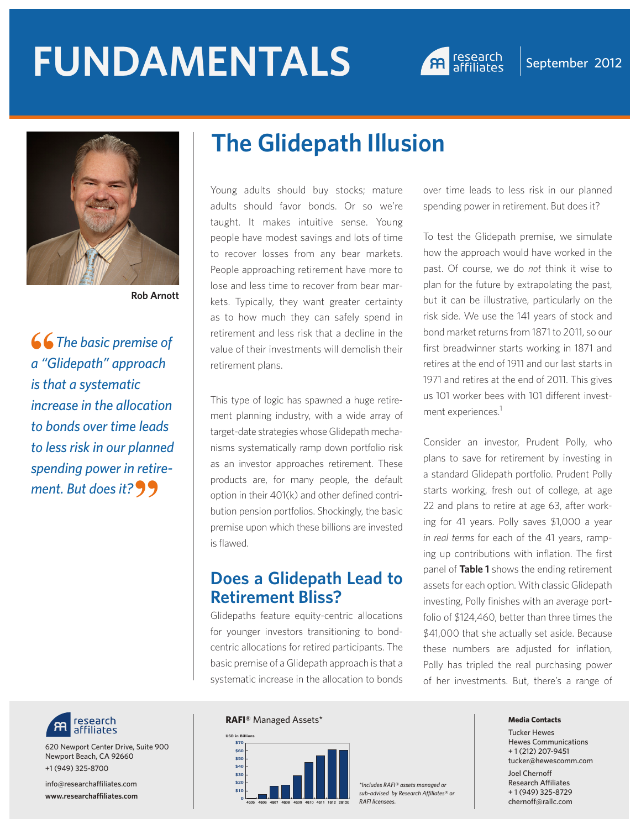# **FUNDAMENTALS A research September 2012**





**Rob Arnott**

**66** The basic premise of<br>a "Glidepath" approach *a "Glidepath" approach is that a systematic increase in the allocation to bonds over time leads to less risk in our planned spending power in retire*ment. But does it?  $99$ 



taught. It makes intuitive sense. Young people have modest savings and lots of time to recover losses from any bear markets. People approaching retirement have more to lose and less time to recover from bear markets. Typically, they want greater certainty as to how much they can safely spend in retirement and less risk that a decline in the value of their investments will demolish their retirement plans.

This type of logic has spawned a huge retirement planning industry, with a wide array of target-date strategies whose Glidepath mechanisms systematically ramp down portfolio risk as an investor approaches retirement. These products are, for many people, the default option in their 401(k) and other defined contribution pension portfolios. Shockingly, the basic premise upon which these billions are invested is flawed.

#### **Does a Glidepath Lead to Retirement Bliss?**

Glidepaths feature equity-centric allocations for younger investors transitioning to bondcentric allocations for retired participants. The basic premise of a Glidepath approach is that a systematic increase in the allocation to bonds over time leads to less risk in our planned spending power in retirement. But does it?

To test the Glidepath premise, we simulate how the approach would have worked in the past. Of course, we do *not* think it wise to plan for the future by extrapolating the past, but it can be illustrative, particularly on the risk side. We use the 141 years of stock and bond market returns from 1871 to 2011, so our first breadwinner starts working in 1871 and retires at the end of 1911 and our last starts in 1971 and retires at the end of 2011. This gives us 101 worker bees with 101 different investment experiences.<sup>1</sup>

Consider an investor, Prudent Polly, who plans to save for retirement by investing in a standard Glidepath portfolio. Prudent Polly starts working, fresh out of college, at age 22 and plans to retire at age 63, after working for 41 years. Polly saves \$1,000 a year *in real terms* for each of the 41 years, ramping up contributions with inflation. The first panel of **Table 1** shows the ending retirement assets for each option. With classic Glidepath investing, Polly finishes with an average portfolio of \$124,460, better than three times the \$41,000 that she actually set aside. Because these numbers are adjusted for inflation, Polly has tripled the real purchasing power of her investments. But, there's a range of



620 Newport Center Drive, Suite 900 Newport Beach, CA 92660 +1 (949) 325-8700

info@researchaffiliates.com **www.researchaffiliates.com**

#### **RAFI®** Managed Assets\*



*\*Includes RAFI® assets managed or sub-advised by Research Affiliates® or RAFI licensees.* **<sup>0</sup>**

#### **Media Contacts**

Tucker Hewes Hewes Communications + 1 (212) 207-9451 tucker@hewescomm.com Joel Chernoff Research Affiliates + 1 (949) 325-8729 chernoff@rallc.com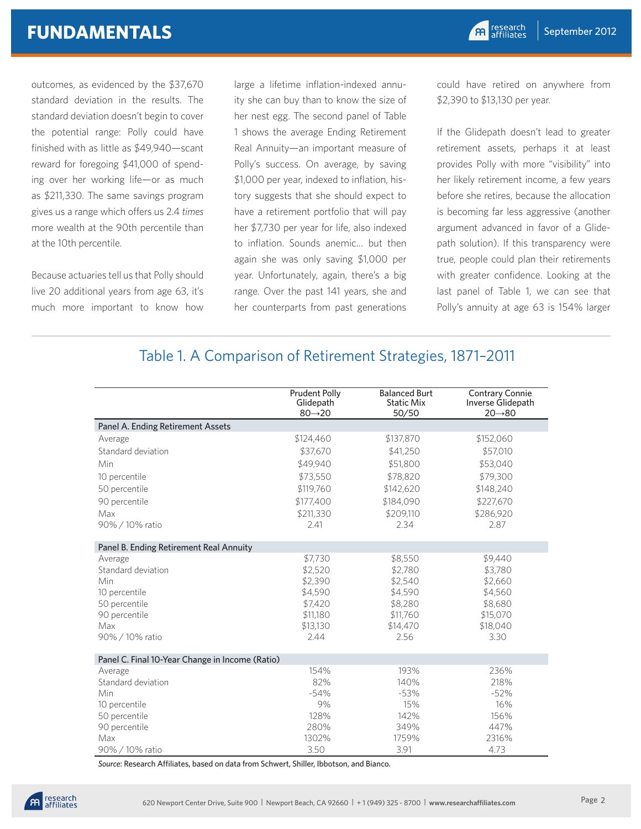## **FUNDAMENTALS**

outcomes, as evidenced by the \$37,670 standard deviation in the results. The standard deviation doesn't begin to cover the potential range: Polly could have finished with as little as \$49,940—scant reward for foregoing \$41,000 of spending over her working life—or as much as \$211,330. The same savings program gives us a range which offers us 2.4 *times* more wealth at the 90th percentile than at the 10th percentile.

Because actuaries tell us that Polly should live 20 additional years from age 63, it's much more important to know how large a lifetime inflation-indexed annuity she can buy than to know the size of her nest egg. The second panel of Table 1 shows the average Ending Retirement Real Annuity—an important measure of Polly's success. On average, by saving \$1,000 per year, indexed to inflation, history suggests that she should expect to have a retirement portfolio that will pay her \$7,730 per year for life, also indexed to inflation. Sounds anemic… but then again she was only saving \$1,000 per year. Unfortunately, again, there's a big range. Over the past 141 years, she and her counterparts from past generations

could have retired on anywhere from \$2,390 to \$13,130 per year.

If the Glidepath doesn't lead to greater retirement assets, perhaps it at least provides Polly with more "visibility" into her likely retirement income, a few years before she retires, because the allocation is becoming far less aggressive (another argument advanced in favor of a Glidepath solution). If this transparency were true, people could plan their retirements with greater confidence. Looking at the last panel of Table 1, we can see that Polly's annuity at age 63 is 154% larger

#### Table 1. A Comparison of Retirement Strategies, 1871–2011

|                                                 | <b>Prudent Polly</b><br>Glidepath<br>$80 \rightarrow 20$ | <b>Balanced Burt</b><br><b>Static Mix</b><br>50/50 | <b>Contrary Connie</b><br>Inverse Glidepath<br>$20 \rightarrow 80$ |
|-------------------------------------------------|----------------------------------------------------------|----------------------------------------------------|--------------------------------------------------------------------|
| Panel A. Ending Retirement Assets               |                                                          |                                                    |                                                                    |
| Average                                         | \$124,460                                                | \$137,870                                          | \$152,060                                                          |
| Standard deviation                              | \$37,670                                                 | \$41,250                                           | \$57,010                                                           |
| Min                                             | \$49.940                                                 | \$51,800                                           | \$53,040                                                           |
| 10 percentile                                   | \$73,550                                                 | \$78,820                                           | \$79,300                                                           |
| 50 percentile                                   | \$119,760                                                | \$142,620                                          | \$148,240                                                          |
| 90 percentile                                   | \$177,400                                                | \$184,090                                          | \$227,670                                                          |
| Max                                             | \$211,330                                                | \$209,110                                          | \$286,920                                                          |
| 90% / 10% ratio                                 | 7.41                                                     | 2.34                                               | 2.87                                                               |
| Panel B. Ending Retirement Real Annuity         |                                                          |                                                    |                                                                    |
| Average                                         | \$7,730                                                  | \$8,550                                            | \$9,440                                                            |
| Standard deviation                              | \$2,520                                                  | \$2,780                                            | \$3,780                                                            |
| Min                                             | \$2,390                                                  | \$2,540                                            | \$2,660                                                            |
| 10 percentile                                   | \$4,590                                                  | \$4,590                                            | \$4,560                                                            |
| 50 percentile                                   | \$7,420                                                  | \$8,280                                            | \$8,680                                                            |
| 90 percentile                                   | \$11,180                                                 | \$11,760                                           | \$15,070                                                           |
| Max                                             | \$13,130                                                 | \$14,470                                           | \$18,040                                                           |
| 90% / 10% ratio                                 | 2.44                                                     | 2.56                                               | 3.30                                                               |
| Panel C. Final 10-Year Change in Income (Ratio) |                                                          |                                                    |                                                                    |
| Average                                         | 154%                                                     | 193%                                               | 236%                                                               |
| Standard deviation                              | 82%                                                      | 140%                                               | 218%                                                               |
| Min                                             | $-54%$                                                   | $-53%$                                             | $-52%$                                                             |
| 10 percentile                                   | 9%                                                       | 15%                                                | 16%                                                                |
| 50 percentile                                   | 128%                                                     | 142%                                               | 156%                                                               |
| 90 percentile                                   | 280%                                                     | 349%                                               | 447%                                                               |
| Max                                             | 1302%                                                    | 1759%                                              | 2316%                                                              |
| 90% / 10% ratio                                 | 3.50                                                     | 3.91                                               | 4.73                                                               |

*Source*: Research Affiliates, based on data from Schwert, Shiller, Ibbotson, and Bianco.

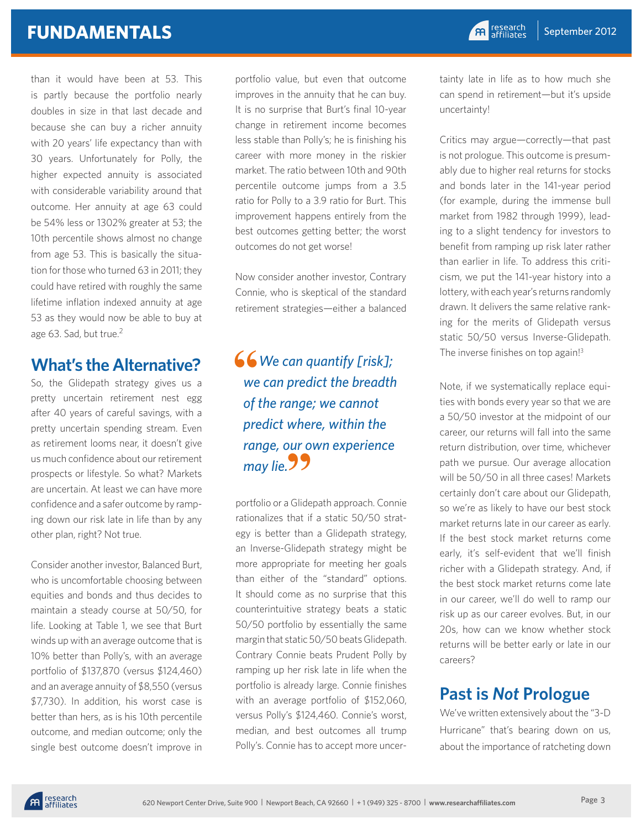than it would have been at 53. This is partly because the portfolio nearly doubles in size in that last decade and because she can buy a richer annuity with 20 years' life expectancy than with 30 years. Unfortunately for Polly, the higher expected annuity is associated with considerable variability around that outcome. Her annuity at age 63 could be 54% less or 1302% greater at 53; the 10th percentile shows almost no change from age 53. This is basically the situation for those who turned 63 in 2011; they could have retired with roughly the same lifetime inflation indexed annuity at age 53 as they would now be able to buy at age 63. Sad, but true.<sup>2</sup>

## **What's the Alternative?**

So, the Glidepath strategy gives us a pretty uncertain retirement nest egg after 40 years of careful savings, with a pretty uncertain spending stream. Even as retirement looms near, it doesn't give us much confidence about our retirement prospects or lifestyle. So what? Markets are uncertain. At least we can have more confidence and a safer outcome by ramping down our risk late in life than by any other plan, right? Not true.

Consider another investor, Balanced Burt, who is uncomfortable choosing between equities and bonds and thus decides to maintain a steady course at 50/50, for life. Looking at Table 1, we see that Burt winds up with an average outcome that is 10% better than Polly's, with an average portfolio of \$137,870 (versus \$124,460) and an average annuity of \$8,550 (versus \$7,730). In addition, his worst case is better than hers, as is his 10th percentile outcome, and median outcome; only the single best outcome doesn't improve in portfolio value, but even that outcome improves in the annuity that he can buy. It is no surprise that Burt's final 10-year change in retirement income becomes less stable than Polly's; he is finishing his career with more money in the riskier market. The ratio between 10th and 90th percentile outcome jumps from a 3.5 ratio for Polly to a 3.9 ratio for Burt. This improvement happens entirely from the best outcomes getting better; the worst outcomes do not get worse!

Now consider another investor, Contrary Connie, who is skeptical of the standard retirement strategies—either a balanced

#### *We can quantify [risk]; we can predict the breadth of the range; we cannot predict where, within the range, our own experience*  range, our o<br>may lie.**ソソ** 66<br>we

portfolio or a Glidepath approach. Connie rationalizes that if a static 50/50 strategy is better than a Glidepath strategy, an Inverse-Glidepath strategy might be more appropriate for meeting her goals than either of the "standard" options. It should come as no surprise that this counterintuitive strategy beats a static 50/50 portfolio by essentially the same margin that static 50/50 beats Glidepath. Contrary Connie beats Prudent Polly by ramping up her risk late in life when the portfolio is already large. Connie finishes with an average portfolio of \$152,060, versus Polly's \$124,460. Connie's worst, median, and best outcomes all trump Polly's. Connie has to accept more uncer-

tainty late in life as to how much she can spend in retirement—but it's upside uncertainty!

Critics may argue—correctly—that past is not prologue. This outcome is presumably due to higher real returns for stocks and bonds later in the 141-year period (for example, during the immense bull market from 1982 through 1999), leading to a slight tendency for investors to benefit from ramping up risk later rather than earlier in life. To address this criticism, we put the 141-year history into a lottery, with each year's returns randomly drawn. It delivers the same relative ranking for the merits of Glidepath versus static 50/50 versus Inverse-Glidepath. The inverse finishes on top again!<sup>3</sup>

Note, if we systematically replace equities with bonds every year so that we are a 50/50 investor at the midpoint of our career, our returns will fall into the same return distribution, over time, whichever path we pursue. Our average allocation will be 50/50 in all three cases! Markets certainly don't care about our Glidepath, so we're as likely to have our best stock market returns late in our career as early. If the best stock market returns come early, it's self-evident that we'll finish richer with a Glidepath strategy. And, if the best stock market returns come late in our career, we'll do well to ramp our risk up as our career evolves. But, in our 20s, how can we know whether stock returns will be better early or late in our careers?

## **Past is** *Not* **Prologue**

We've written extensively about the "3-D Hurricane" that's bearing down on us, about the importance of ratcheting down

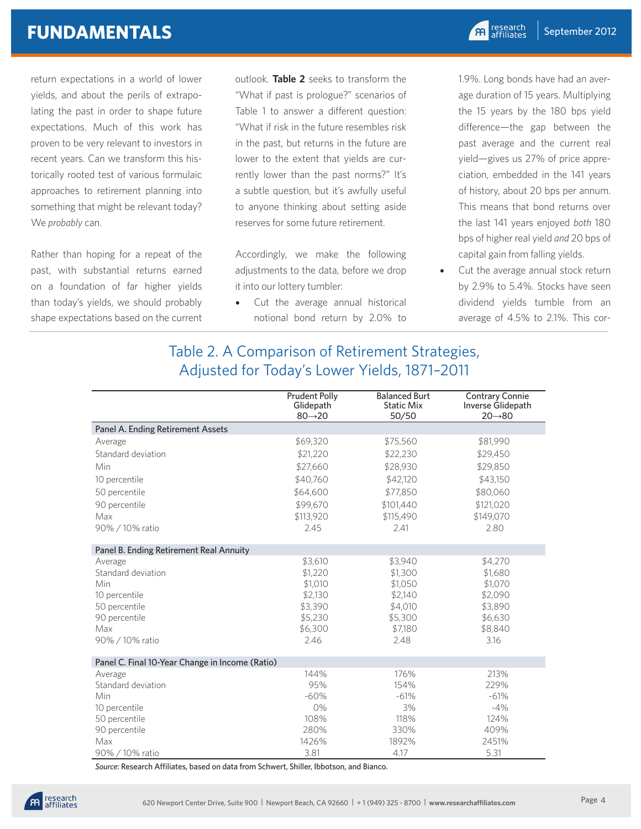## **FUNDAMENTALS**

return expectations in a world of lower yields, and about the perils of extrapolating the past in order to shape future expectations. Much of this work has proven to be very relevant to investors in recent years. Can we transform this historically rooted test of various formulaic approaches to retirement planning into something that might be relevant today? We *probably* can.

Rather than hoping for a repeat of the past, with substantial returns earned on a foundation of far higher yields than today's yields, we should probably shape expectations based on the current

outlook. **Table 2** seeks to transform the "What if past is prologue?" scenarios of Table 1 to answer a different question: "What if risk in the future resembles risk in the past, but returns in the future are lower to the extent that yields are currently lower than the past norms?" It's a subtle question, but it's awfully useful to anyone thinking about setting aside reserves for some future retirement.

Accordingly, we make the following adjustments to the data, before we drop it into our lottery tumbler:

• Cut the average annual historical notional bond return by 2.0% to

1.9%. Long bonds have had an average duration of 15 years. Multiplying the 15 years by the 180 bps yield difference—the gap between the past average and the current real yield—gives us 27% of price appreciation, embedded in the 141 years of history, about 20 bps per annum. This means that bond returns over the last 141 years enjoyed *both* 180 bps of higher real yield *and* 20 bps of capital gain from falling yields.

• Cut the average annual stock return by 2.9% to 5.4%. Stocks have seen dividend yields tumble from an average of 4.5% to 2.1%. This cor-

#### Table 2. A Comparison of Retirement Strategies, Adjusted for Today's Lower Yields, 1871–2011

| Panel A. Ending Retirement Assets<br>\$69,320<br>\$81,990<br>\$75,560<br>Average<br>Standard deviation<br>\$21,220<br>\$22,230<br>\$29,450<br>\$27,660<br>\$28,930<br>\$29,850<br>Min<br>\$40,760<br>10 percentile<br>\$42,120<br>\$43,150<br>50 percentile<br>\$64,600<br>\$77,850<br>\$80,060<br>90 percentile<br>\$99,670<br>\$101,440<br>\$121,020<br>Max<br>\$113,920<br>\$115,490<br>\$149,070<br>90% / 10% ratio<br>2.45<br>2.41<br>2.80<br>Panel B. Ending Retirement Real Annuity<br>\$3,610<br>\$3,940<br>\$4,270<br>Average<br>Standard deviation<br>\$1,220<br>\$1,300<br>\$1,680<br>\$1,010<br>\$1,050<br>\$1,070<br>Min<br>\$2,130<br>\$2,090<br>\$2,140<br>10 percentile<br>\$4,010<br>\$3,890<br>50 percentile<br>\$3,390<br>90 percentile<br>\$5,230<br>\$5,300<br>\$6,630<br>\$8,840<br>\$6,300<br>\$7,180<br>Max<br>90% / 10% ratio<br>2.46<br>2.48<br>3.16<br>Panel C. Final 10-Year Change in Income (Ratio)<br>144%<br>176%<br>213%<br>Average<br>95%<br>229%<br>Standard deviation<br>154%<br>$-60%$<br>$-61%$<br>Min<br>$-61%$ | <b>Prudent Polly</b><br>Glidepath<br>$80 \rightarrow 20$ | <b>Balanced Burt</b><br><b>Static Mix</b><br>50/50 | <b>Contrary Connie</b><br>Inverse Glidepath<br>$20 \rightarrow 80$ |
|--------------------------------------------------------------------------------------------------------------------------------------------------------------------------------------------------------------------------------------------------------------------------------------------------------------------------------------------------------------------------------------------------------------------------------------------------------------------------------------------------------------------------------------------------------------------------------------------------------------------------------------------------------------------------------------------------------------------------------------------------------------------------------------------------------------------------------------------------------------------------------------------------------------------------------------------------------------------------------------------------------------------------------------------------------|----------------------------------------------------------|----------------------------------------------------|--------------------------------------------------------------------|
|                                                                                                                                                                                                                                                                                                                                                                                                                                                                                                                                                                                                                                                                                                                                                                                                                                                                                                                                                                                                                                                        |                                                          |                                                    |                                                                    |
|                                                                                                                                                                                                                                                                                                                                                                                                                                                                                                                                                                                                                                                                                                                                                                                                                                                                                                                                                                                                                                                        |                                                          |                                                    |                                                                    |
|                                                                                                                                                                                                                                                                                                                                                                                                                                                                                                                                                                                                                                                                                                                                                                                                                                                                                                                                                                                                                                                        |                                                          |                                                    |                                                                    |
|                                                                                                                                                                                                                                                                                                                                                                                                                                                                                                                                                                                                                                                                                                                                                                                                                                                                                                                                                                                                                                                        |                                                          |                                                    |                                                                    |
|                                                                                                                                                                                                                                                                                                                                                                                                                                                                                                                                                                                                                                                                                                                                                                                                                                                                                                                                                                                                                                                        |                                                          |                                                    |                                                                    |
|                                                                                                                                                                                                                                                                                                                                                                                                                                                                                                                                                                                                                                                                                                                                                                                                                                                                                                                                                                                                                                                        |                                                          |                                                    |                                                                    |
|                                                                                                                                                                                                                                                                                                                                                                                                                                                                                                                                                                                                                                                                                                                                                                                                                                                                                                                                                                                                                                                        |                                                          |                                                    |                                                                    |
|                                                                                                                                                                                                                                                                                                                                                                                                                                                                                                                                                                                                                                                                                                                                                                                                                                                                                                                                                                                                                                                        |                                                          |                                                    |                                                                    |
|                                                                                                                                                                                                                                                                                                                                                                                                                                                                                                                                                                                                                                                                                                                                                                                                                                                                                                                                                                                                                                                        |                                                          |                                                    |                                                                    |
|                                                                                                                                                                                                                                                                                                                                                                                                                                                                                                                                                                                                                                                                                                                                                                                                                                                                                                                                                                                                                                                        |                                                          |                                                    |                                                                    |
|                                                                                                                                                                                                                                                                                                                                                                                                                                                                                                                                                                                                                                                                                                                                                                                                                                                                                                                                                                                                                                                        |                                                          |                                                    |                                                                    |
|                                                                                                                                                                                                                                                                                                                                                                                                                                                                                                                                                                                                                                                                                                                                                                                                                                                                                                                                                                                                                                                        |                                                          |                                                    |                                                                    |
|                                                                                                                                                                                                                                                                                                                                                                                                                                                                                                                                                                                                                                                                                                                                                                                                                                                                                                                                                                                                                                                        |                                                          |                                                    |                                                                    |
|                                                                                                                                                                                                                                                                                                                                                                                                                                                                                                                                                                                                                                                                                                                                                                                                                                                                                                                                                                                                                                                        |                                                          |                                                    |                                                                    |
|                                                                                                                                                                                                                                                                                                                                                                                                                                                                                                                                                                                                                                                                                                                                                                                                                                                                                                                                                                                                                                                        |                                                          |                                                    |                                                                    |
|                                                                                                                                                                                                                                                                                                                                                                                                                                                                                                                                                                                                                                                                                                                                                                                                                                                                                                                                                                                                                                                        |                                                          |                                                    |                                                                    |
|                                                                                                                                                                                                                                                                                                                                                                                                                                                                                                                                                                                                                                                                                                                                                                                                                                                                                                                                                                                                                                                        |                                                          |                                                    |                                                                    |
|                                                                                                                                                                                                                                                                                                                                                                                                                                                                                                                                                                                                                                                                                                                                                                                                                                                                                                                                                                                                                                                        |                                                          |                                                    |                                                                    |
|                                                                                                                                                                                                                                                                                                                                                                                                                                                                                                                                                                                                                                                                                                                                                                                                                                                                                                                                                                                                                                                        |                                                          |                                                    |                                                                    |
|                                                                                                                                                                                                                                                                                                                                                                                                                                                                                                                                                                                                                                                                                                                                                                                                                                                                                                                                                                                                                                                        |                                                          |                                                    |                                                                    |
|                                                                                                                                                                                                                                                                                                                                                                                                                                                                                                                                                                                                                                                                                                                                                                                                                                                                                                                                                                                                                                                        |                                                          |                                                    |                                                                    |
|                                                                                                                                                                                                                                                                                                                                                                                                                                                                                                                                                                                                                                                                                                                                                                                                                                                                                                                                                                                                                                                        |                                                          |                                                    |                                                                    |
| 3%<br>0%<br>$-4%$<br>10 percentile                                                                                                                                                                                                                                                                                                                                                                                                                                                                                                                                                                                                                                                                                                                                                                                                                                                                                                                                                                                                                     |                                                          |                                                    |                                                                    |
| 108%<br>118%<br>50 percentile<br>124%                                                                                                                                                                                                                                                                                                                                                                                                                                                                                                                                                                                                                                                                                                                                                                                                                                                                                                                                                                                                                  |                                                          |                                                    |                                                                    |
| 90 percentile<br>280%<br>330%<br>409%                                                                                                                                                                                                                                                                                                                                                                                                                                                                                                                                                                                                                                                                                                                                                                                                                                                                                                                                                                                                                  |                                                          |                                                    |                                                                    |
| 1426%<br>1892%<br>2451%<br>Max                                                                                                                                                                                                                                                                                                                                                                                                                                                                                                                                                                                                                                                                                                                                                                                                                                                                                                                                                                                                                         |                                                          |                                                    |                                                                    |
| 3.81<br>5.31<br>90% / 10% ratio<br>4.17                                                                                                                                                                                                                                                                                                                                                                                                                                                                                                                                                                                                                                                                                                                                                                                                                                                                                                                                                                                                                |                                                          |                                                    |                                                                    |

*Source*: Research Affiliates, based on data from Schwert, Shiller, Ibbotson, and Bianco.

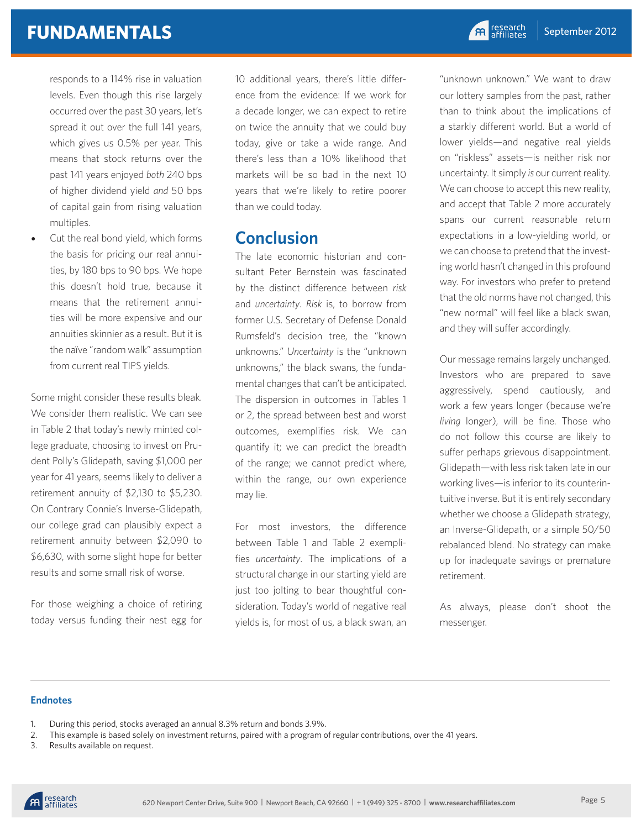# **FUNDAMENTALS**

responds to a 114% rise in valuation levels. Even though this rise largely occurred over the past 30 years, let's spread it out over the full 141 years, which gives us 0.5% per year. This means that stock returns over the past 141 years enjoyed *both* 240 bps of higher dividend yield *and* 50 bps of capital gain from rising valuation multiples.

Cut the real bond yield, which forms the basis for pricing our real annuities, by 180 bps to 90 bps. We hope this doesn't hold true, because it means that the retirement annuities will be more expensive and our annuities skinnier as a result. But it is the naïve "random walk" assumption from current real TIPS yields.

Some might consider these results bleak. We consider them realistic. We can see in Table 2 that today's newly minted college graduate, choosing to invest on Prudent Polly's Glidepath, saving \$1,000 per year for 41 years, seems likely to deliver a retirement annuity of \$2,130 to \$5,230. On Contrary Connie's Inverse-Glidepath, our college grad can plausibly expect a retirement annuity between \$2,090 to \$6,630, with some slight hope for better results and some small risk of worse.

For those weighing a choice of retiring today versus funding their nest egg for 10 additional years, there's little difference from the evidence: If we work for a decade longer, we can expect to retire on twice the annuity that we could buy today, give or take a wide range. And there's less than a 10% likelihood that markets will be so bad in the next 10 years that we're likely to retire poorer than we could today.

#### **Conclusion**

The late economic historian and consultant Peter Bernstein was fascinated by the distinct difference between *risk* and *uncertainty*. *Risk* is, to borrow from former U.S. Secretary of Defense Donald Rumsfeld's decision tree, the "known unknowns." *Uncertainty* is the "unknown unknowns," the black swans, the fundamental changes that can't be anticipated. The dispersion in outcomes in Tables 1 or 2, the spread between best and worst outcomes, exemplifies risk. We can quantify it; we can predict the breadth of the range; we cannot predict where, within the range, our own experience may lie.

For most investors, the difference between Table 1 and Table 2 exemplifies *uncertainty*. The implications of a structural change in our starting yield are just too jolting to bear thoughtful consideration. Today's world of negative real yields is, for most of us, a black swan, an

"unknown unknown." We want to draw our lottery samples from the past, rather than to think about the implications of a starkly different world. But a world of lower yields—and negative real yields on "riskless" assets—is neither risk nor uncertainty. It simply *is* our current reality. We can choose to accept this new reality, and accept that Table 2 more accurately spans our current reasonable return expectations in a low-yielding world, or we can choose to pretend that the investing world hasn't changed in this profound way. For investors who prefer to pretend that the old norms have not changed, this "new normal" will feel like a black swan, and they will suffer accordingly.

Our message remains largely unchanged. Investors who are prepared to save aggressively, spend cautiously, and work a few years longer (because we're *living* longer), will be fine. Those who do not follow this course are likely to suffer perhaps grievous disappointment. Glidepath—with less risk taken late in our working lives—is inferior to its counterintuitive inverse. But it is entirely secondary whether we choose a Glidepath strategy, an Inverse-Glidepath, or a simple 50/50 rebalanced blend. No strategy can make up for inadequate savings or premature retirement.

As always, please don't shoot the messenger.

#### **Endnotes**

- 1. During this period, stocks averaged an annual 8.3% return and bonds 3.9%.
- 2. This example is based solely on investment returns, paired with a program of regular contributions, over the 41 years.
- 3. Results available on request.

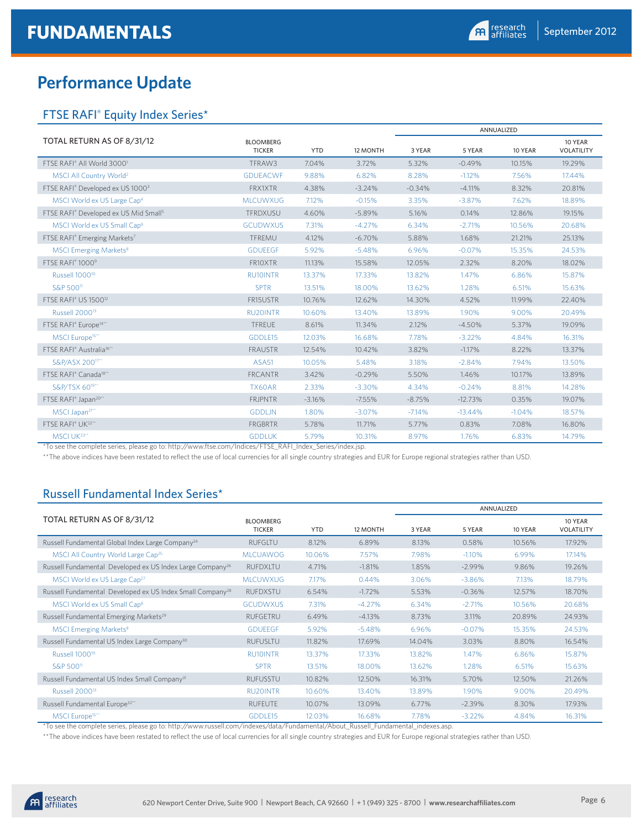# **Performance Update**

#### FTSE RAFI® Equity Index Series\*

|                                                      |                                   |            |          |          |           | ANNUALIZED |                       |
|------------------------------------------------------|-----------------------------------|------------|----------|----------|-----------|------------|-----------------------|
| TOTAL RETURN AS OF 8/31/12                           | <b>BLOOMBERG</b><br><b>TICKER</b> | <b>YTD</b> | 12 MONTH | 3 YEAR   | 5 YEAR    | 10 YEAR    | 10 YEAR<br>VOLATILITY |
| FTSE RAFI® All World 30001                           | TFRAW3                            | 7.04%      | 3.72%    | 5.32%    | $-0.49%$  | 10.15%     | 19.29%                |
| MSCI All Country World <sup>2</sup>                  | <b>GDUEACWF</b>                   | 9.88%      | 6.82%    | 8.28%    | $-1.12%$  | 7.56%      | 17.44%                |
| FTSE RAFI® Developed ex US 10003                     | <b>FRX1XTR</b>                    | 4.38%      | $-3.24%$ | $-0.34%$ | $-4.11%$  | 8.32%      | 20.81%                |
| MSCI World ex US Large Cap <sup>4</sup>              | <b>MLCUWXUG</b>                   | 7.12%      | $-0.15%$ | 3.35%    | $-3.87%$  | 7.62%      | 18.89%                |
| FTSE RAFI® Developed ex US Mid Small <sup>5</sup>    | TFRDXUSU                          | 4.60%      | $-5.89%$ | 5.16%    | 0.14%     | 12.86%     | 19.15%                |
| MSCI World ex US Small Cap <sup>6</sup>              | <b>GCUDWXUS</b>                   | 7.31%      | $-4.27%$ | 6.34%    | $-2.71%$  | 10.56%     | 20.68%                |
| FTSE RAFI <sup>®</sup> Emerging Markets <sup>7</sup> | TFREMU                            | 4.12%      | $-6.70%$ | 5.88%    | 1.68%     | 21.21%     | 25.13%                |
| MSCI Emerging Markets <sup>8</sup>                   | <b>GDUEEGF</b>                    | 5.92%      | $-5.48%$ | 6.96%    | $-0.07%$  | 15.35%     | 24.53%                |
| FTSE RAFI® 10009                                     | FR10XTR                           | 11.13%     | 15.58%   | 12.05%   | 2.32%     | 8.20%      | 18.02%                |
| Russell 1000 <sup>10</sup>                           | <b>RU10INTR</b>                   | 13.37%     | 17.33%   | 13.82%   | 1.47%     | 6.86%      | 15.87%                |
| S&P 500 <sup>11</sup>                                | <b>SPTR</b>                       | 13.51%     | 18.00%   | 13.62%   | 1.28%     | 6.51%      | 15.63%                |
| FTSE RAFI® US 1500 <sup>12</sup>                     | FR15USTR                          | 10.76%     | 12.62%   | 14.30%   | 4.52%     | 11.99%     | 22.40%                |
| Russell 2000 <sup>13</sup>                           | <b>RU20INTR</b>                   | 10.60%     | 13.40%   | 13.89%   | 1.90%     | 9.00%      | 20.49%                |
| FTSE RAFI® Europe <sup>14**</sup>                    | <b>TFREUE</b>                     | 8.61%      | 11.34%   | 2.12%    | $-4.50%$  | 5.37%      | 19.09%                |
| MSCI Europe <sup>15**</sup>                          | GDDLE15                           | 12.03%     | 16.68%   | 7.78%    | $-3.22%$  | 4.84%      | 16.31%                |
| FTSE RAFI® Australia <sup>16**</sup>                 | <b>FRAUSTR</b>                    | 12.54%     | 10.42%   | 3.82%    | $-1.17%$  | 8.22%      | 13.37%                |
| S&P/ASX 200 <sup>17**</sup>                          | ASA <sub>51</sub>                 | 10.05%     | 5.48%    | 3.18%    | $-2.84%$  | 7.94%      | 13.50%                |
| FTSE RAFI® Canada <sup>18**</sup>                    | <b>FRCANTR</b>                    | 3.42%      | $-0.29%$ | 5.50%    | 1.46%     | 10.17%     | 13.89%                |
| S&P/TSX 60 <sup>19**</sup>                           | TX60AR                            | 2.33%      | $-3.30%$ | 4.34%    | $-0.24%$  | 8.81%      | 14.28%                |
| FTSE RAFI® Japan <sup>20**</sup>                     | <b>FRJPNTR</b>                    | $-3.16%$   | $-7.55%$ | $-8.75%$ | $-12.73%$ | 0.35%      | 19.07%                |
| MSCI Japan <sup>21**</sup>                           | <b>GDDLJN</b>                     | 1.80%      | $-3.07%$ | $-7.14%$ | $-13.44%$ | $-1.04%$   | 18.57%                |
| FTSE RAFI® UK <sup>22**</sup>                        | <b>FRGBRTR</b>                    | 5.78%      | 11.71%   | 5.77%    | 0.83%     | 7.08%      | 16.80%                |
| MSCI UK <sup>23**</sup>                              | <b>GDDLUK</b>                     | 5.79%      | 10.31%   | 8.97%    | 1.76%     | 6.83%      | 14.79%                |

\*To see the complete series, please go to: http://www.ftse.com/Indices/FTSE\_RAFI\_Index\_Series/index.jsp.

\*\*The above indices have been restated to reflect the use of local currencies for all single country strategies and EUR for Europe regional strategies rather than USD.

#### Russell Fundamental Index Series\*

|                                                                       |                                   |            |          | ANNUALIZED |          |         |                       |
|-----------------------------------------------------------------------|-----------------------------------|------------|----------|------------|----------|---------|-----------------------|
| TOTAL RETURN AS OF 8/31/12                                            | <b>BLOOMBERG</b><br><b>TICKER</b> | <b>YTD</b> | 12 MONTH | 3 YEAR     | 5 YEAR   | 10 YEAR | 10 YEAR<br>VOLATILITY |
| Russell Fundamental Global Index Large Company <sup>24</sup>          | <b>RUFGLTU</b>                    | 8.12%      | 6.89%    | 8.13%      | 0.58%    | 10.56%  | 17.92%                |
| MSCI All Country World Large Cap <sup>25</sup>                        | <b>MLCUAWOG</b>                   | 10.06%     | 7.57%    | 7.98%      | $-1.10%$ | 6.99%   | 17.14%                |
| Russell Fundamental Developed ex US Index Large Company <sup>26</sup> | <b>RUFDXLTU</b>                   | 4.71%      | $-1.81%$ | 1.85%      | $-2.99%$ | 9.86%   | 19.26%                |
| MSCI World ex US Large Cap <sup>27</sup>                              | <b>MLCUWXUG</b>                   | 7.17%      | 0.44%    | 3.06%      | $-3.86%$ | 7.13%   | 18.79%                |
| Russell Fundamental Developed ex US Index Small Company <sup>28</sup> | <b>RUFDXSTU</b>                   | 6.54%      | $-1.72%$ | 5.53%      | $-0.36%$ | 12.57%  | 18.70%                |
| MSCI World ex US Small Cap <sup>6</sup>                               | <b>GCUDWXUS</b>                   | 7.31%      | $-4.27%$ | 6.34%      | $-2.71%$ | 10.56%  | 20.68%                |
| Russell Fundamental Emerging Markets <sup>29</sup>                    | RUFGETRU                          | 6.49%      | $-4.13%$ | 8.73%      | 3.11%    | 20.89%  | 24.93%                |
| <b>MSCI Emerging Markets<sup>8</sup></b>                              | <b>GDUEEGF</b>                    | 5.92%      | $-5.48%$ | 6.96%      | $-0.07%$ | 15.35%  | 24.53%                |
| Russell Fundamental US Index Large Company <sup>30</sup>              | <b>RUFUSLTU</b>                   | 11.82%     | 17.69%   | 14.04%     | 3.03%    | 8.80%   | 16.54%                |
| Russell 1000 <sup>10</sup>                                            | <b>RU10INTR</b>                   | 13.37%     | 17.33%   | 13.82%     | 1.47%    | 6.86%   | 15.87%                |
| S&P 500 <sup>11</sup>                                                 | <b>SPTR</b>                       | 13.51%     | 18.00%   | 13.62%     | 1.28%    | 6.51%   | 15.63%                |
| Russell Fundamental US Index Small Company <sup>31</sup>              | <b>RUFUSSTU</b>                   | 10.82%     | 12.50%   | 16.31%     | 5.70%    | 12.50%  | 21.26%                |
| Russell 2000 <sup>13</sup>                                            | <b>RU20INTR</b>                   | 10.60%     | 13.40%   | 13.89%     | 1.90%    | 9.00%   | 20.49%                |
| Russell Fundamental Europe <sup>32**</sup>                            | <b>RUFEUTE</b>                    | 10.07%     | 13.09%   | 6.77%      | $-2.39%$ | 8.30%   | 17.93%                |
| MSCI Europe <sup>15**</sup>                                           | GDDLE15                           | 12.03%     | 16.68%   | 7.78%      | $-3.22%$ | 4.84%   | 16.31%                |

\*To see the complete series, please go to: http://www.russell.com/indexes/data/Fundamental/About\_Russell\_Fundamental\_indexes.asp.

\*\*The above indices have been restated to reflect the use of local currencies for all single country strategies and EUR for Europe regional strategies rather than USD.

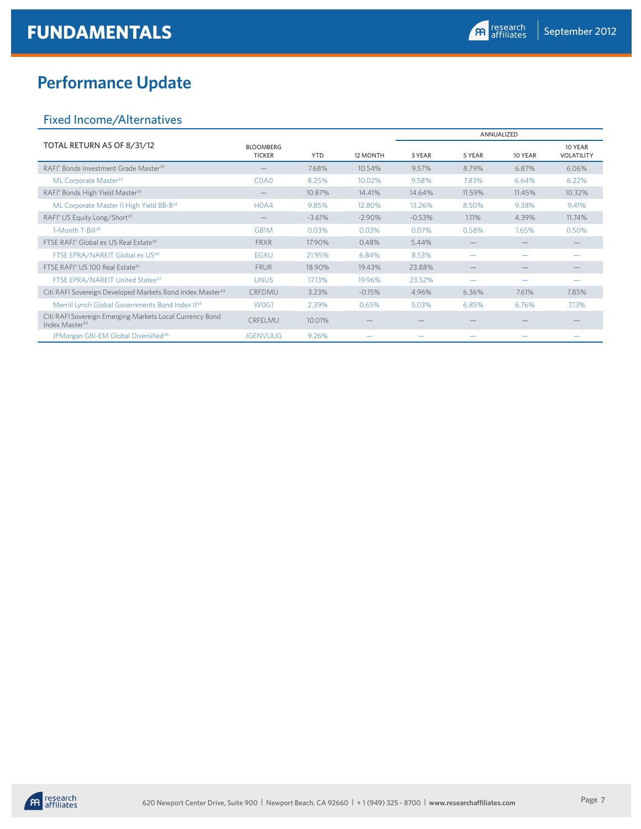# **Performance Update**

#### Fixed Income/Alternatives

|                                                                                        |                                   |            |          |          | ANNUALIZED |                   |                              |
|----------------------------------------------------------------------------------------|-----------------------------------|------------|----------|----------|------------|-------------------|------------------------------|
| TOTAL RETURN AS OF 8/31/12                                                             | <b>BLOOMBERG</b><br><b>TICKER</b> | <b>YTD</b> | 12 MONTH | 3 YEAR   | 5 YEAR     | 10 YEAR           | 10 YEAR<br><b>VOLATILITY</b> |
| RAFI® Bonds Investment Grade Master <sup>33</sup>                                      |                                   | 7.68%      | 10.54%   | 9.57%    | 8.79%      | 6.87%             | 6.06%                        |
| ML Corporate Master <sup>34</sup>                                                      | C <sub>0</sub> A <sub>0</sub>     | 8.25%      | 10.02%   | 9.58%    | 7.83%      | 6.64%             | 6.22%                        |
| RAFI® Bonds High Yield Master <sup>35</sup>                                            |                                   | 10.87%     | 14.41%   | 14.64%   | 11.59%     | 11.45%            | 10.32%                       |
| ML Corporate Master II High Yield BB-B <sup>36</sup>                                   | H <sub>0</sub> A <sub>4</sub>     | 9.85%      | 12.80%   | 13.26%   | 8.50%      | 9.38%             | 9.41%                        |
| RAFI® US Equity Long/Short <sup>37</sup>                                               |                                   | $-3.61%$   | $-2.90%$ | $-0.53%$ | 1.11%      | 4.39%             | 11.74%                       |
| 1-Month T-Bill <sup>38</sup>                                                           | GB1M                              | 0.03%      | 0.03%    | 0.07%    | 0.58%      | 1.65%             | 0.50%                        |
| FTSE RAFI® Global ex US Real Estate <sup>39</sup>                                      | <b>FRXR</b>                       | 17.90%     | 0.48%    | 5.44%    |            |                   |                              |
| FTSE EPRA/NAREIT Global ex US <sup>40</sup>                                            | <b>EGXU</b>                       | 21.95%     | 6.84%    | 8.53%    | -          |                   |                              |
| FTSE RAFI® US 100 Real Estate <sup>41</sup>                                            | <b>FRUR</b>                       | 18.90%     | 19.43%   | 23.88%   |            | $\qquad \qquad -$ |                              |
| FTSE EPRA/NAREIT United States <sup>42</sup>                                           | <b>UNUS</b>                       | 17.13%     | 19.96%   | 23.52%   |            |                   |                              |
| Citi RAFI Sovereign Developed Markets Bond Index Master <sup>43</sup>                  | CRFDMU                            | 3.23%      | $-0.15%$ | 4.96%    | 6.36%      | 7.61%             | 7.85%                        |
| Merrill Lynch Global Governments Bond Index II <sup>44</sup>                           | W <sub>0</sub> G1                 | 2.39%      | 0.65%    | 5.03%    | 6.85%      | 6.76%             | 7.13%                        |
| Citi RAFI Sovereign Emerging Markets Local Currency Bond<br>Index Master <sup>45</sup> | CRFELMU                           | 10.01%     |          |          |            |                   |                              |
| JPMorgan GBI-EM Global Diversified <sup>46</sup>                                       | <b>JGENVUUG</b>                   | 9.26%      |          |          |            |                   |                              |